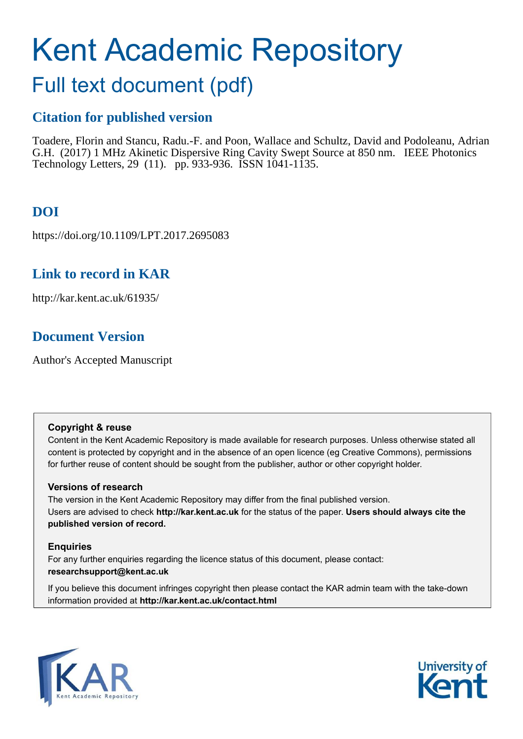# Kent Academic Repository

# Full text document (pdf)

# **Citation for published version**

Toadere, Florin and Stancu, Radu.-F. and Poon, Wallace and Schultz, David and Podoleanu, Adrian G.H. (2017) 1 MHz Akinetic Dispersive Ring Cavity Swept Source at 850 nm. IEEE Photonics Technology Letters, 29 (11). pp. 933-936. ISSN 1041-1135.

# **DOI**

https://doi.org/10.1109/LPT.2017.2695083

# **Link to record in KAR**

http://kar.kent.ac.uk/61935/

# **Document Version**

Author's Accepted Manuscript

### **Copyright & reuse**

Content in the Kent Academic Repository is made available for research purposes. Unless otherwise stated all content is protected by copyright and in the absence of an open licence (eg Creative Commons), permissions for further reuse of content should be sought from the publisher, author or other copyright holder.

### **Versions of research**

The version in the Kent Academic Repository may differ from the final published version. Users are advised to check **http://kar.kent.ac.uk** for the status of the paper. **Users should always cite the published version of record.**

### **Enquiries**

For any further enquiries regarding the licence status of this document, please contact: **researchsupport@kent.ac.uk**

If you believe this document infringes copyright then please contact the KAR admin team with the take-down information provided at **http://kar.kent.ac.uk/contact.html**



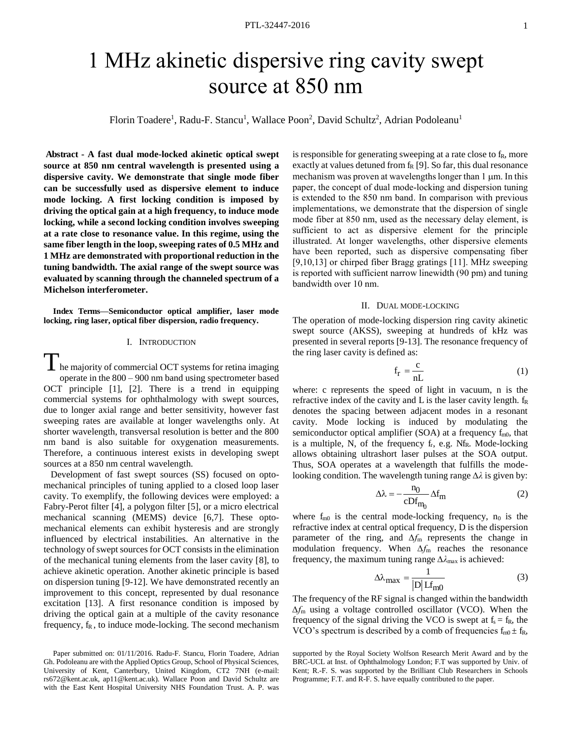# 1 MHz akinetic dispersive ring cavity swept source at 850 nm

Florin Toadere<sup>1</sup>, Radu-F. Stancu<sup>1</sup>, Wallace Poon<sup>2</sup>, David Schultz<sup>2</sup>, Adrian Podoleanu<sup>1</sup>

**Abstract - A fast dual mode-locked akinetic optical swept source at 850 nm central wavelength is presented using a dispersive cavity. We demonstrate that single mode fiber can be successfully used as dispersive element to induce mode locking. A first locking condition is imposed by driving the optical gain at a high frequency, to induce mode locking, while a second locking condition involves sweeping at a rate close to resonance value. In this regime, using the same fiber length in the loop, sweeping rates of 0.5 MHz and 1 MHz are demonstrated with proportional reduction in the tuning bandwidth. The axial range of the swept source was evaluated by scanning through the channeled spectrum of a Michelson interferometer.** 

**Index Terms—Semiconductor optical amplifier, laser mode locking, ring laser, optical fiber dispersion, radio frequency.** 

#### I. INTRODUCTION

The majority of commercial OCT systems for retina imaging operate in the 800 – 900 nm band using spectrometer based OCT principle [1], [2]. There is a trend in equipping commercial systems for ophthalmology with swept sources, due to longer axial range and better sensitivity, however fast sweeping rates are available at longer wavelengths only. At shorter wavelength, transversal resolution is better and the 800 nm band is also suitable for oxygenation measurements. Therefore, a continuous interest exists in developing swept sources at a 850 nm central wavelength.

 Development of fast swept sources (SS) focused on optomechanical principles of tuning applied to a closed loop laser cavity. To exemplify, the following devices were employed: a Fabry-Perot filter [4], a polygon filter [5], or a micro electrical mechanical scanning (MEMS) device [6,7]. These optomechanical elements can exhibit hysteresis and are strongly influenced by electrical instabilities. An alternative in the technology of swept sources for OCT consists in the elimination of the mechanical tuning elements from the laser cavity [8], to achieve akinetic operation. Another akinetic principle is based on dispersion tuning [9-12]. We have demonstrated recently an improvement to this concept, represented by dual resonance excitation [13]. A first resonance condition is imposed by driving the optical gain at a multiple of the cavity resonance frequency,  $f_R$ , to induce mode-locking. The second mechanism

Paper submitted on: 01/11/2016. Radu-F. Stancu, Florin Toadere, Adrian Gh. Podoleanu are with the Applied Optics Group, School of Physical Sciences, University of Kent, Canterbury, United Kingdom, CT2 7NH (e-mail: rs672@kent.ac.uk, ap11@kent.ac.uk). Wallace Poon and David Schultz are with the East Kent Hospital University NHS Foundation Trust. A. P. was

is responsible for generating sweeping at a rate close to f<sub>R</sub>, more exactly at values detuned from  $f_R$  [9]. So far, this dual resonance mechanism was proven at wavelengths longer than  $1 \mu m$ . In this paper, the concept of dual mode-locking and dispersion tuning is extended to the 850 nm band. In comparison with previous implementations, we demonstrate that the dispersion of single mode fiber at 850 nm, used as the necessary delay element, is sufficient to act as dispersive element for the principle illustrated. At longer wavelengths, other dispersive elements have been reported, such as dispersive compensating fiber [9,10,13] or chirped fiber Bragg gratings [11]. MHz sweeping is reported with sufficient narrow linewidth (90 pm) and tuning bandwidth over 10 nm.

#### II. DUAL MODE-LOCKING

The operation of mode-locking dispersion ring cavity akinetic swept source (AKSS), sweeping at hundreds of kHz was presented in several reports [9-13]. The resonance frequency of the ring laser cavity is defined as:

$$
f_r = \frac{c}{nL} \tag{1}
$$

where: c represents the speed of light in vacuum, n is the refractive index of the cavity and L is the laser cavity length.  $f_R$ denotes the spacing between adjacent modes in a resonant cavity. Mode locking is induced by modulating the semiconductor optical amplifier (SOA) at a frequency  $f_{m0}$ , that is a multiple, N, of the frequency  $f_r$ , e.g. N $f_R$ . Mode-locking allows obtaining ultrashort laser pulses at the SOA output. Thus, SOA operates at a wavelength that fulfills the modelooking condition. The wavelength tuning range Δλ is given by:

$$
\Delta \lambda = -\frac{n_0}{cDf_{m_0}} \Delta f_m \tag{2}
$$

where  $f_{m0}$  is the central mode-locking frequency,  $n_0$  is the refractive index at central optical frequency, D is the dispersion parameter of the ring, and *∆f*m represents the change in modulation frequency. When *∆f*m reaches the resonance frequency, the maximum tuning range  $\Delta \lambda_{\text{max}}$  is achieved:

$$
\Delta\lambda_{\text{max}} = \frac{1}{|D| L f_{\text{m0}}}
$$
 (3)

The frequency of the RF signal is changed within the bandwidth *∆f*m using a voltage controlled oscillator (VCO). When the frequency of the signal driving the VCO is swept at  $f_s = f_R$ , the VCO's spectrum is described by a comb of frequencies  $f_{m0} \pm f_R$ ,

supported by the Royal Society Wolfson Research Merit Award and by the BRC-UCL at Inst. of Ophthalmology London; F.T was supported by Univ. of Kent; R.-F. S. was supported by the Brilliant Club Researchers in Schools Programme; F.T. and R-F. S. have equally contributed to the paper.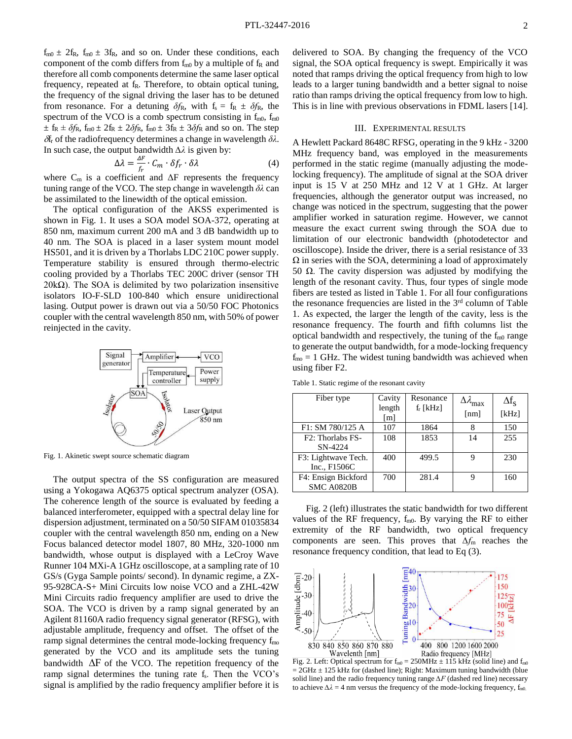$f_{m0} \pm 2f_R$ ,  $f_{m0} \pm 3f_R$ , and so on. Under these conditions, each component of the comb differs from  $f_{m0}$  by a multiple of  $f_R$  and therefore all comb components determine the same laser optical frequency, repeated at f<sub>R</sub>. Therefore, to obtain optical tuning, the frequency of the signal driving the laser has to be detuned from resonance. For a detuning  $\delta f_R$ , with  $f_s = f_R \pm \delta f_R$ , the spectrum of the VCO is a comb spectrum consisting in  $f<sub>m0</sub>$ ,  $f<sub>m0</sub>$  $\pm$  f<sub>R</sub>  $\pm$   $\delta f$ <sub>R</sub>, f<sub>m0</sub>  $\pm$  2 $f$ <sub>R</sub>,  $\pm$  2 $\delta f$ <sub>R</sub>, f<sub>m0</sub>  $\pm$  3 $f$ <sub>R</sub>  $\pm$  3 $\delta f$ <sub>R</sub> and so on. The step  $\delta$ <sub>r</sub> of the radiofrequency determines a change in wavelength  $\delta \lambda$ . In such case, the output bandwidth  $Δλ$  is given by:

$$
\Delta \lambda = \frac{\Delta F}{f_r} \cdot C_m \cdot \delta f_r \cdot \delta \lambda \tag{4}
$$

where  $C_m$  is a coefficient and  $\Delta F$  represents the frequency tuning range of the VCO. The step change in wavelength  $\delta\lambda$  can be assimilated to the linewidth of the optical emission.

The optical configuration of the AKSS experimented is shown in Fig. 1. It uses a SOA model SOA-372, operating at 850 nm, maximum current 200 mA and 3 dB bandwidth up to 40 nm. The SOA is placed in a laser system mount model HS501, and it is driven by a Thorlabs LDC 210C power supply. Temperature stability is ensured through thermo-electric cooling provided by a Thorlabs TEC 200C driver (sensor TH  $20k\Omega$ ). The SOA is delimited by two polarization insensitive isolators IO-F-SLD 100-840 which ensure unidirectional lasing. Output power is drawn out via a 50/50 FOC Photonics coupler with the central wavelength 850 nm, with 50% of power reinjected in the cavity.



Fig. 1. Akinetic swept source schematic diagram

The output spectra of the SS configuration are measured using a Yokogawa AQ6375 optical spectrum analyzer (OSA). The coherence length of the source is evaluated by feeding a balanced interferometer, equipped with a spectral delay line for dispersion adjustment, terminated on a 50/50 SIFAM 01035834 coupler with the central wavelength 850 nm, ending on a New Focus balanced detector model 1807, 80 MHz, 320-1000 nm bandwidth, whose output is displayed with a LeCroy Wave Runner 104 MXi-A 1GHz oscilloscope, at a sampling rate of 10 GS/s (Gyga Sample points/ second). In dynamic regime, a ZX-95-928CA-S+ Mini Circuits low noise VCO and a ZHL-42W Mini Circuits radio frequency amplifier are used to drive the SOA. The VCO is driven by a ramp signal generated by an Agilent 81160A radio frequency signal generator (RFSG), with adjustable amplitude, frequency and offset. The offset of the ramp signal determines the central mode-locking frequency f<sub>mo</sub> generated by the VCO and its amplitude sets the tuning bandwidth  $\Delta F$  of the VCO. The repetition frequency of the ramp signal determines the tuning rate  $f_s$ . Then the VCO's signal is amplified by the radio frequency amplifier before it is

delivered to SOA. By changing the frequency of the VCO signal, the SOA optical frequency is swept. Empirically it was noted that ramps driving the optical frequency from high to low leads to a larger tuning bandwidth and a better signal to noise ratio than ramps driving the optical frequency from low to high. This is in line with previous observations in FDML lasers [14].

#### III. EXPERIMENTAL RESULTS

A Hewlett Packard 8648C RFSG, operating in the 9 kHz - 3200 MHz frequency band, was employed in the measurements performed in the static regime (manually adjusting the modelocking frequency). The amplitude of signal at the SOA driver input is 15 V at 250 MHz and 12 V at 1 GHz. At larger frequencies, although the generator output was increased, no change was noticed in the spectrum, suggesting that the power amplifier worked in saturation regime. However, we cannot measure the exact current swing through the SOA due to limitation of our electronic bandwidth (photodetector and oscilloscope). Inside the driver, there is a serial resistance of 33  $\Omega$  in series with the SOA, determining a load of approximately 50  $\Omega$ . The cavity dispersion was adjusted by modifying the length of the resonant cavity. Thus, four types of single mode fibers are tested as listed in Table 1. For all four configurations the resonance frequencies are listed in the 3<sup>rd</sup> column of Table 1. As expected, the larger the length of the cavity, less is the resonance frequency. The fourth and fifth columns list the optical bandwidth and respectively, the tuning of the  $f<sub>m0</sub>$  range to generate the output bandwidth, for a mode-locking frequency  $f_{\text{mo}} = 1$  GHz. The widest tuning bandwidth was achieved when using fiber F2.

| Fiber type                                 | Cavity<br>length  | Resonance<br>$f_r$ [kHz] | $\Delta \lambda_{\rm max}$ | $\Delta f_{\rm s}$ |
|--------------------------------------------|-------------------|--------------------------|----------------------------|--------------------|
|                                            | $\lceil m \rceil$ |                          | [nm]                       | [kHz]              |
| F1: SM 780/125 A                           | 107               | 1864                     | 8                          | 150                |
| F <sub>2</sub> : Thorlabs F <sub>S</sub> - | 108               | 1853                     | 14                         | 255                |
| SN-4224                                    |                   |                          |                            |                    |
| F3: Lightwave Tech.<br>Inc., F1506C        | 400               | 499.5                    | 9                          | 230                |
| F4: Ensign Bickford                        | 700               | 281.4                    | Q                          | 160                |
| <b>SMC A0820B</b>                          |                   |                          |                            |                    |

Table 1. Static regime of the resonant cavity

Fig. 2 (left) illustrates the static bandwidth for two different values of the RF frequency,  $f_{m0}$ . By varying the RF to either extremity of the RF bandwidth, two optical frequency components are seen. This proves that *∆f*m reaches the resonance frequency condition, that lead to Eq (3).



 $= 2GHz \pm 125$  kHz for (dashed line); Right: Maximum tuning bandwidth (blue solid line) and the radio frequency tuning range *∆F* (dashed red line) necessary to achieve  $\Delta \lambda = 4$  nm versus the frequency of the mode-locking frequency, f<sub>m0.</sub>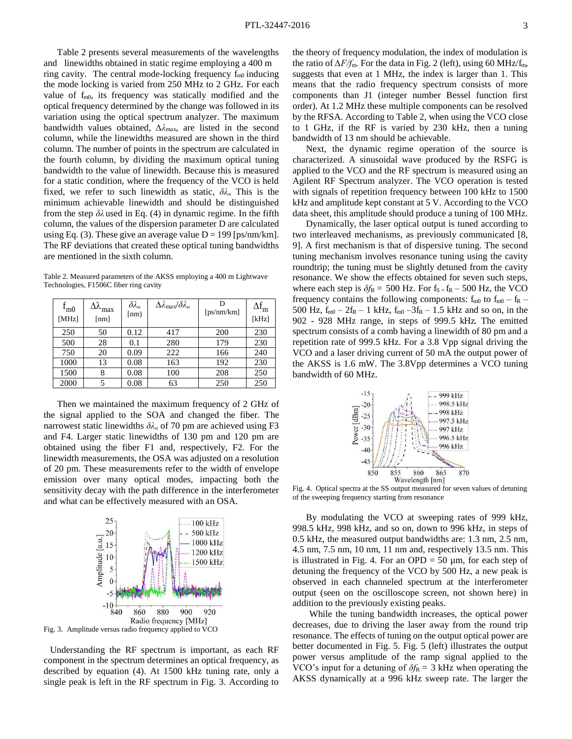Table 2 presents several measurements of the wavelengths and linewidths obtained in static regime employing a 400 m ring cavity. The central mode-locking frequency  $f_{m0}$  inducing the mode locking is varied from 250 MHz to 2 GHz. For each value of  $f_{m0}$ , its frequency was statically modified and the optical frequency determined by the change was followed in its variation using the optical spectrum analyzer. The maximum bandwidth values obtained, *∆そ*max, are listed in the second column, while the linewidths measured are shown in the third column. The number of points in the spectrum are calculated in the fourth column, by dividing the maximum optical tuning bandwidth to the value of linewidth. Because this is measured for a static condition, where the frequency of the VCO is held fixed, we refer to such linewidth as static,  $\delta \lambda_{st}$  This is the minimum achievable linewidth and should be distinguished from the step  $\delta\lambda$  used in Eq. (4) in dynamic regime. In the fifth column, the values of the dispersion parameter D are calculated using Eq. (3). These give an average value  $D = 199$  [ps/nm/km]. The RF deviations that created these optical tuning bandwidths are mentioned in the sixth column.

Table 2. Measured parameters of the AKSS employing a 400 m Lightwave Technologies, F1506C fiber ring cavity

| $f_{m0}$<br>[MHz] | $\Delta\lambda_{\rm max}$<br>[nm] | $\delta \lambda_{\rm st}$<br>[nm) | $\Delta \lambda_{\rm max}/\delta \lambda_{\rm st}$ | [ps/nm/km] | $\Delta f_m$<br>[kHz] |
|-------------------|-----------------------------------|-----------------------------------|----------------------------------------------------|------------|-----------------------|
| 250               | 50                                | 0.12                              | 417                                                | <b>200</b> | 230                   |
| 500               | 28                                | 0.1                               | 280                                                | 179        | 230                   |
| 750               | 20                                | 0.09                              | 222                                                | 166        | 240                   |
| 1000              | 13                                | 0.08                              | 163                                                | 192        | 230                   |
| 1500              | 8                                 | 0.08                              | 100                                                | 208        | 250                   |
| 2000              |                                   | 0.08                              | 63                                                 | 250        | 250                   |

Then we maintained the maximum frequency of 2 GHz of the signal applied to the SOA and changed the fiber. The narrowest static linewidths  $\delta \lambda_{st}$  of 70 pm are achieved using F3 and F4. Larger static linewidths of 130 pm and 120 pm are obtained using the fiber F1 and, respectively, F2. For the linewidth measurements, the OSA was adjusted on a resolution of 20 pm. These measurements refer to the width of envelope emission over many optical modes, impacting both the sensitivity decay with the path difference in the interferometer and what can be effectively measured with an OSA.



Fig. 3. Amplitude versus radio frequency applied to VCO

 Understanding the RF spectrum is important, as each RF component in the spectrum determines an optical frequency, as described by equation (4). At 1500 kHz tuning rate, only a single peak is left in the RF spectrum in Fig. 3. According to

the theory of frequency modulation, the index of modulation is the ratio of  $\Delta F/F_{\text{m}}$ . For the data in Fig. 2 (left), using 60 MHz/f<sub>m</sub>, suggests that even at 1 MHz, the index is larger than 1. This means that the radio frequency spectrum consists of more components than J1 (integer number Bessel function first order). At 1.2 MHz these multiple components can be resolved by the RFSA. According to Table 2, when using the VCO close to 1 GHz, if the RF is varied by 230 kHz, then a tuning bandwidth of 13 nm should be achievable.

Next, the dynamic regime operation of the source is characterized. A sinusoidal wave produced by the RSFG is applied to the VCO and the RF spectrum is measured using an Agilent RF Spectrum analyzer. The VCO operation is tested with signals of repetition frequency between 100 kHz to 1500 kHz and amplitude kept constant at 5 V. According to the VCO data sheet, this amplitude should produce a tuning of 100 MHz.

Dynamically, the laser optical output is tuned according to two interleaved mechanisms, as previously communicated [8, 9]. A first mechanism is that of dispersive tuning. The second tuning mechanism involves resonance tuning using the cavity roundtrip; the tuning must be slightly detuned from the cavity resonance. We show the effects obtained for seven such steps, where each step is  $\delta f_R = 500$  Hz. For  $f_S = f_R - 500$  Hz, the VCO frequency contains the following components:  $f_{m0}$  to  $f_{m0} - f_{R}$  – 500 Hz,  $f_{m0} - 2f_R - 1$  kHz,  $f_{m0} - 3f_R - 1.5$  kHz and so on, in the 902 - 928 MHz range, in steps of 999.5 kHz. The emitted spectrum consists of a comb having a linewidth of 80 pm and a repetition rate of 999.5 kHz. For a 3.8 Vpp signal driving the VCO and a laser driving current of 50 mA the output power of the AKSS is 1.6 mW. The 3.8Vpp determines a VCO tuning bandwidth of 60 MHz.



Fig. 4. Optical spectra at the SS output measured for seven values of detuning of the sweeping frequency starting from resonance

By modulating the VCO at sweeping rates of 999 kHz, 998.5 kHz, 998 kHz, and so on, down to 996 kHz, in steps of 0.5 kHz, the measured output bandwidths are: 1.3 nm, 2.5 nm, 4.5 nm, 7.5 nm, 10 nm, 11 nm and, respectively 13.5 nm. This is illustrated in Fig. 4. For an OPD  $= 50 \mu m$ , for each step of detuning the frequency of the VCO by 500 Hz, a new peak is observed in each channeled spectrum at the interferometer output (seen on the oscilloscope screen, not shown here) in addition to the previously existing peaks.

While the tuning bandwidth increases, the optical power decreases, due to driving the laser away from the round trip resonance. The effects of tuning on the output optical power are better documented in Fig. 5. Fig. 5 (left) illustrates the output power versus amplitude of the ramp signal applied to the VCO's input for a detuning of  $\delta f_R = 3$  kHz when operating the AKSS dynamically at a 996 kHz sweep rate. The larger the